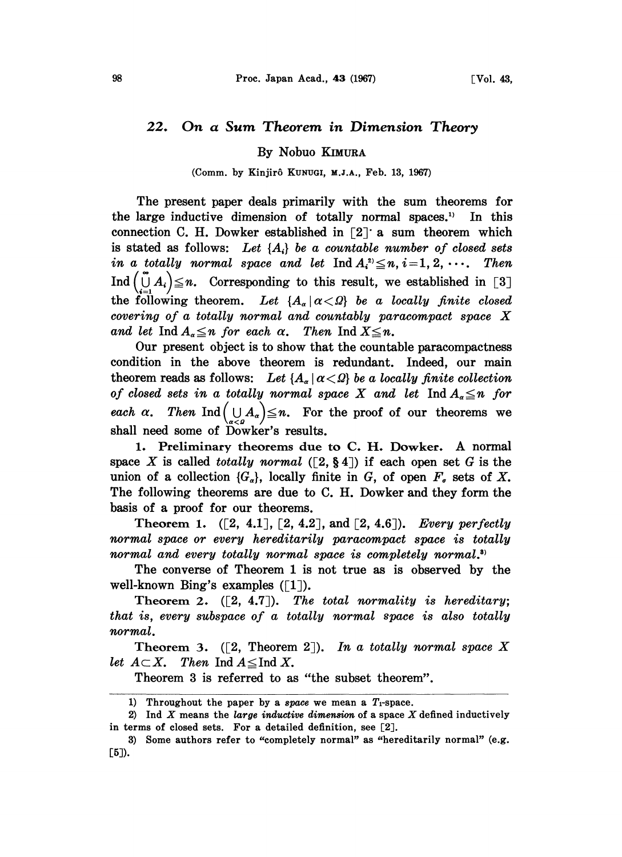## 22. On a Sum Theorem in Dimension Theory

By Nobuo KIMURA

(Comm. by Kinjirô KunuGI, M.J.A., Feb. 13, 1967)

The present paper deals primarily with the sum theorems for the large inductive dimension of totally normal spaces.<sup>1)</sup> In this connection C. H. Dowker established in  $\lceil 2 \rceil$  a sum theorem which is stated as follows: Let  $\{A_i\}$  be a countable number of closed sets in a totally normal space and let  $\text{Ind } A_i^2 \leq n, i = 1, 2, \cdots$ . Then Ind  $(\prod_{i=1}^{n} A_i) \leq n$ . Corresponding to this result, we established in [3] the following theorem. Let  ${A_a \mid a < 0}$  be a locally finite closed covering of <sup>a</sup> totally normal and countably paracompact space X and let Ind  $A_{\alpha} \leq n$  for each  $\alpha$ . Then Ind  $X \leq n$ .

Our present object is to show that the countable paracompactness condition in the above theorem is redundant. Indeed, our main theorem reads as follows: Let  ${A_{\alpha} | \alpha < \Omega}$  be a locally finite collection of closed sets in a totally normal space X and let  $\text{Ind } A_{\alpha} \leq n$  for each  $\alpha$ . Then  $\text{Ind}(\bigcup_{\alpha<\varrho}A_{\alpha})\leq n$ . For the proof of our theorems we shall need some of Dowker's results.

1. Preliminary theorems due to C. H. Dowker. A normal space X is called totally normal ( $[2, \S 4]$ ) if each open set G is the union of a collection  $\{G_{\alpha}\}\text{, locally finite in }G$ , of open  $F_{\alpha}$  sets of X. The following theorems are due to C. H. Dowker and they form the basis of a proof for our theorems.

Theorem 1.  $([2, 4.1], [2, 4.2],$  and  $[2, 4.6].$  Every perfectly normal space or every hereditarily paracompact space is totally normal and every totally normal space is completely normal.<sup>3)</sup>

The converse of Theorem 1 is not true as is observed by the well-known Bing's examples  $(1)$ .

Theorem 2.  $([2, 4.7])$ . The total normality is hereditary; that is, every subspace of a totally normal space is also totally normal.

Theorem 3. ([2, Theorem 2]). In a totally normal space X let  $A \subset X$ . Then Ind  $A \leq$ Ind X.

Theorem 3 is referred to as "the subset theorem".

<sup>1)</sup> Throughout the paper by a space we mean a  $T_1$ -space.

<sup>2)</sup> Ind  $X$  means the large inductive dimension of a space  $X$  defined inductively in terms of closed sets. For a detailed definition, see [2].

<sup>3)</sup> Some authors refer to "completely normal" as "hereditarily normal" (e.g.  $[5]$ .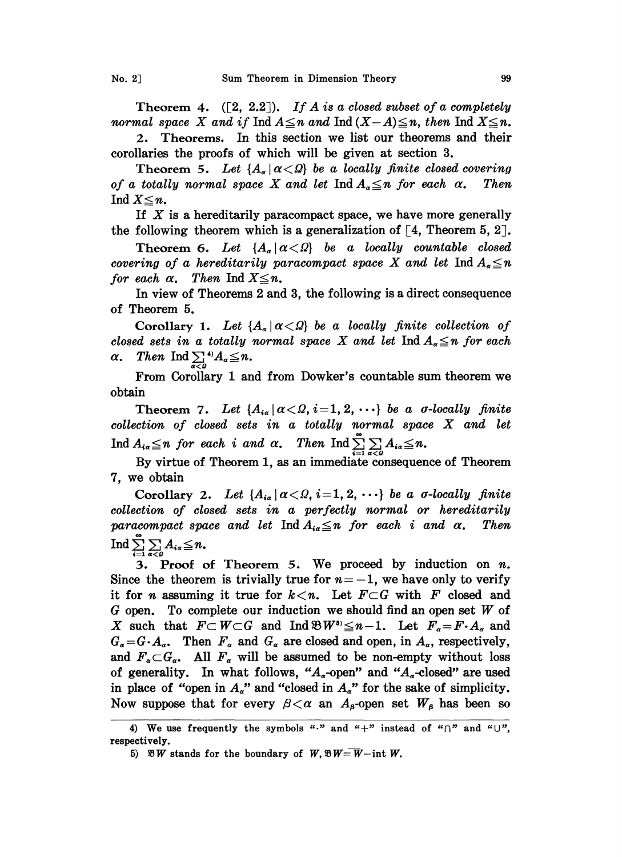Theorem 4.  $([2, 2.2])$ . If A is a closed subset of a completely normal space X and if  $\text{Ind } A \leq n$  and  $\text{Ind } (X-A) \leq n$ , then  $\text{Ind } X \leq n$ .

2. Theorems. In this section we list our theorems and their corollaries the proofs of which will be given at section 3.

Theorem 5. Let  ${A_{\alpha} | \alpha < \Omega}$  be a locally finite closed covering of a totally normal space X and let Ind  $A_{\alpha} \leq n$  for each  $\alpha$ . Then Ind  $X \leq n$ .

If  $X$  is a hereditarily paracompact space, we have more generally the following theorem which is a generalization of  $\lceil 4$ , Theorem 5, 2.

Theorem 6. Let  ${A_{\alpha} | \alpha < \Omega}$  be a locally countable closed covering of a hereditarily paracompact space X and let Ind  $A_{\alpha} \leq n$ for each  $\alpha$ . Then Ind  $X \leq n$ .

In view of Theorems 2 and 3, the following is a direct consequence of Theorem 5.

Corollary 1. Let  ${A_{\alpha} | \alpha < \Omega}$  be a locally finite collection of closed sets in a totally normal space X and let  $\text{Ind } A_{\alpha} \leq n$  for each  $\alpha$ . Then Ind  $\sum_{\alpha \leq 0}^{\infty} A_{\alpha} \leq n$ .

From Corollary <sup>1</sup> and from Dowker's countable sum theorem we obtain

Theorem 7. Let  $\{A_{i\alpha} | \alpha < \Omega, i = 1, 2, \cdots\}$  be a *σ*-locally finite collection of closed sets in <sup>a</sup> totally normal space X and let Ind  $A_{i\alpha} \leq n$  for each i and  $\alpha$ . Then  $\text{Ind} \sum_{i=1}^{\infty} \sum_{\alpha < p} A_{i\alpha} \leq n$ .

By virtue of Theorem 1, as an immediate eonsequenee of Theorem 7, we obtain

Corollary 2. Let  $\{A_{i\alpha} | \alpha \langle \Omega, i=1, 2, \cdots \}$  be a *σ*-locally finite collection of closed sets in a perfectly normal or hereditarily paracompact space and let Ind  $A_{i\alpha} \leq n$  for each i and  $\alpha$ . Then  $\operatorname{Ind} \sum_{i=1}^{\infty} \sum_{\alpha < \beta} A_{i\alpha} \leq n.$ 

3. Proof of Theorem 5. We proceed by induction on  $n$ . Since the theorem is trivially true for  $n=-1$ , we have only to verify it for *n* assuming it true for  $k < n$ . Let  $F \subset G$  with F closed and G open. To complete our induction we should find an open set  $W$  of X such that  $F \subset W \subset G$  and  $\text{Ind } \mathfrak{B} W^{s} \leq n-1$ . Let  $F_{\alpha} = F \cdot A_{\alpha}$  and  $G_{\alpha} = G \cdot A_{\alpha}$ . Then  $F_{\alpha}$  and  $G_{\alpha}$  are closed and open, in  $A_{\alpha}$ , respectively, and  $F_\alpha \subset G_\alpha$ . All  $F_\alpha$  will be assumed to be non-empty without loss of generality. In what follows, " $A_{\alpha}$ -open" and " $A_{\alpha}$ -closed" are used in place of "open in  $A_{\alpha}$ " and "closed in  $A_{\alpha}$ " for the sake of simplicity. Now suppose that for every  $\beta < \alpha$  an  $A_{\beta}$ -open set  $W_{\beta}$  has been so

<sup>4)</sup> We use frequently the symbols "." and "+" instead of " $\cap$ " and " $\cup$ ", respectively.

<sup>5)</sup>  $\mathfrak{B}W$  stands for the boundary of  $W$ ,  $\mathfrak{B}W = W$ -int W.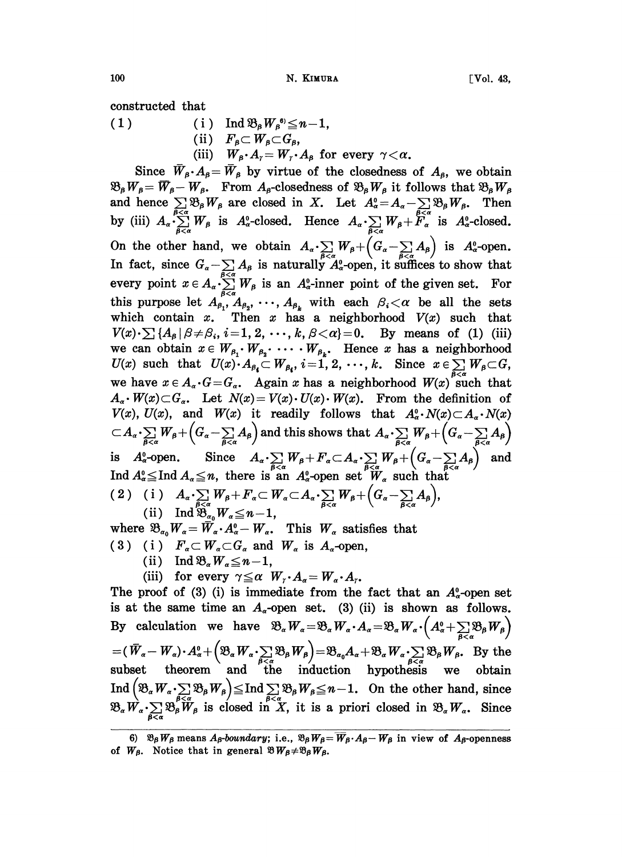100 N. KIMURA [Vol. 43,

constructed that

( 1 ) ( i )  $\text{Ind } \mathfrak{B}_{\beta} W_{\beta}^{\mathfrak{g}} \leq n-1,$ (ii)  $F_{\beta} \subset W_{\beta} \subset G_{\beta}$ , (iii)  $W_{\beta} \cdot A_{\gamma} = W_{\gamma} \cdot A_{\beta}$  for every  $\gamma < \alpha$ .

Since  $\bar{W}_{\beta} \cdot A_{\beta} = \bar{W}_{\beta}$  by virtue of the closedness of  $A_{\beta}$ , we obtain  $\mathfrak{B}_{\beta}W_{\beta} = \overline{W}_{\beta} - W_{\beta}$ . From  $A_{\beta}$ -closedness of  $\mathfrak{B}_{\beta}W_{\beta}$  it follows that  $\mathfrak{B}_{\beta}W_{\beta}$ Since  $W_{\beta} \cdot A_{\beta} = W_{\beta}$  by virtue of the closedness of  $A_{\beta}$ , we obtain  $\mathfrak{B}_{\beta}W_{\beta} = \overline{W}_{\beta} - W_{\beta}$ . From  $A_{\beta}$ -closedness of  $\mathfrak{B}_{\beta}W_{\beta}$  it follows that  $\mathfrak{B}_{\beta}W_{\beta}$  and hence  $\sum_{\beta} \mathfrak{B}_{\beta}W_{\$ by (iii)  $A_{\alpha} \cdot \sum_{\beta < \alpha}^{\beta < \alpha} W_{\beta}$  is  $A_{\alpha}^0$ -closed. Hence  $A_{\alpha} \cdot \sum_{\beta < \alpha} W_{\beta} + F_{\alpha}^{\alpha}$  is  $A_{\alpha}^0$ -closed. On the other hand, we obtain  $A_{\alpha} \sum_{\beta < \alpha} W_{\beta} + (G_{\alpha} - \sum_{\beta < \alpha} A_{\beta})$  is  $A_{\alpha}^0$ -open.<br>In fact, since  $G_{\alpha} = \sum A_{\alpha}$  is naturally  $A_{\alpha}^0$ -onen, it suffices to show that In fact, since  $G_{\alpha} - \sum_{\beta < \alpha} A_{\beta}$  is naturally  $A_{\alpha}^{\beta}$ -open, it suffices to show that<br>every point  $x \in A_{\alpha} \cdot \sum_{\beta < \alpha} W_{\beta}$  is an  $A_{\alpha}^{\beta}$ -inner point of the given set. For<br>this purpose let  $A_{\beta_1}, A_{\beta_2}, \cdots,$ every point  $x \in A_{\alpha} \cdot \sum_{\beta < \alpha}^{\beta < \alpha} W_{\beta}$  is an  $A_{\alpha}^{\alpha}$ -inner point of the given set. For this purpose let  $A_{\beta_1}, A_{\beta_2}, \cdots, A_{\beta_k}$  with each  $\beta_i < \alpha$  be all the sets which contain  $x$ . Then  $x$  has a neighborhood  $V(x)$  such that  $V(x) \cdot \sum_i \{A_\beta | \beta \neq \beta_i, i = 1, 2, \cdots, k, \beta \lt \alpha\} = 0$ . By means of (1) (iii) we can obtain  $x \in W_{\beta_1} \cdot W_{\beta_2} \cdot \cdots \cdot W_{\beta_k}$ . Hence x has a neighborhood  $U(x)$  such that  $U(x) \cdot A_{\beta_i} \subset W_{\beta_i}$ ,  $i = 1, 2, \dots, k$ . Since  $x \in \sum_i W_{\beta_i}$ <br>we have  $x \in A_{\alpha} \cdot G = G_{\alpha}$ . Again x has a neighborhood  $W(x)$  such  $A_{\alpha} \cdot W(x) \subset G_{\alpha}$ . Let  $N(x) = V(x) \cdot U(x) \cdot W(x)$ . From the definition we have  $x \in A_{\alpha} \cdot G = G_{\alpha}$ . Again x has a neighborhood  $W(x)$  such that  $A_{\alpha} \cdot W(x) \subset G_{\alpha}$ . Let  $N(x) = V(x) \cdot U(x) \cdot W(x)$ . From the definition of  $V(x)$ ,  $U(x)$ , and  $W(x)$  it readily follows that  $A_{\alpha}^0 \cdot N(x) \subset A_{\alpha} \cdot N(x)$ <br> $\subset A_{\alpha} \cdot \sum_{\beta \prec \alpha} W_{\beta} + (G_{\alpha} - \sum_{\beta \prec \alpha} A_{\beta})$  and this shows that  $A_{\alpha} \cdot \sum_{\beta \prec \alpha} W_{\beta} + (G_{\alpha} - \sum_{\beta \prec \alpha} A_{\beta})$ is  $A_{\alpha}^0$ -open. Since  $A_{\alpha} \cdot \sum_{\beta < \alpha} W_{\beta} + F_{\alpha} \subset A_{\alpha} \cdot \sum_{\beta < \alpha} W_{\beta} + (G_{\alpha} - \sum_{\beta < \alpha} A_{\beta})$ <br>Ind  $A_{\alpha}^0 \leq$  Ind  $A_{\alpha} \leq n$ , there is an  $A_{\alpha}^0$ -open set  $W_{\alpha}$  such that (2) (i)  $A_{\alpha} \cdot \sum_{\beta < \alpha} W_{\beta} + F_{\alpha} \subset W_{\alpha} \subset A_{\alpha} \cdot \sum_{\beta < \alpha} W_{\beta} + (G_{\alpha} - \sum_{\beta < \alpha} A_{\beta}),$ <br>(ii) Ind  $\mathfrak{B}_{\alpha_0} W_{\alpha} \leq n-1$ ,

- where  $\mathfrak{B}_{\alpha_0} W_\alpha = \overline{W}_\alpha \cdot A_\alpha^0 W_\alpha$ . This  $W_\alpha$  satisfies that<br>
(3) (i)  $F_\alpha \subset W_\alpha \subset G_\alpha$  and  $W_\alpha$  is  $A_\alpha$ -open,<br>
(ii)  $\overline{H}_\alpha \mathfrak{B} W_\alpha \subset H_\alpha$ 
	-
- (3) (i)  $F_{\alpha} \subset W_{\alpha} \subset G_{\alpha}$  and  $W_{\alpha}$  is  $A_{\alpha}$ -open,<br>
(ii)  $\text{Ind } \mathfrak{B}_{\alpha} W_{\alpha} \leq n-1$ ,<br>
(iii) for every  $\gamma \leq \alpha$   $W_{\gamma} \cdot A_{\alpha} = W_{\alpha} \cdot A_{\gamma}$ .

The proof of (3) (i) is immediate from the fact that an  $A_{\alpha}^0$ -open set is at the same time an  $A_{\alpha}$ -open set. (3) (ii) is shown as follows. By calculation we have  $\mathfrak{B}_{\alpha}W_{\alpha} = \mathfrak{B}_{\alpha}W_{\alpha} \cdot A_{\alpha} = \mathfrak{B}_{\alpha}W_{\alpha} \cdot \left(A_{\alpha}^0 + \sum_{\beta < \alpha} \mathfrak{B}_{\beta}W_{\beta}\right)$ = $(\bar{W}_\alpha - W_\alpha) \cdot A_\alpha^0 + (\mathfrak{B}_\alpha W_\alpha \cdot \sum_{\beta < \alpha} \mathfrak{B}_\beta W_\beta) = \mathfrak{B}_{\alpha_0} A_\alpha + \mathfrak{B}_\alpha W_\alpha \cdot \sum_{\beta < \alpha} \mathfrak{B}_\beta W_\beta$ . By the subset theorem and the induction hypothesis we obtain  $(\mathfrak{B}_{\alpha}W_{\alpha} \cdot \sum_{\beta \leq \alpha} \mathfrak{B}_{\beta}W_{\beta}) \leq \text{Ind} \sum_{\beta \leq \alpha} \mathfrak{B}_{\beta}W_{\beta} \leq n-1$ . On the other hand, since Ind  $(\mathfrak{B}_{\alpha}W_{\alpha} \cdot \sum_{\beta \leq \alpha} \mathfrak{B}_{\beta}W_{\beta}) \leq \text{Ind} \sum_{\beta \leq \alpha} \mathfrak{B}_{\beta}W_{\beta} \leq n-1$ . On the other hand, since  $\mathfrak{B}_{\alpha}W_{\alpha} \cdot \sum_{\beta \leq \alpha} \mathfrak{B}_{\beta}W_{\beta}$  is closed in X, it is a priori closed in  $\mathfrak{B}_{\alpha}W_{\alpha}$ .

<sup>6)</sup>  $\mathfrak{B}_{\beta}W_{\beta}$  means  $A_{\beta}$ -boundary; i.e.,  $\mathfrak{B}_{\beta}W_{\beta}=\overline{W}_{\beta}\cdot A_{\beta}-W_{\beta}$  in view of  $A_{\beta}$ -openness of  $W_{\beta}$ . Notice that in general  $\mathfrak{B}W_{\beta}+\mathfrak{B}_{\beta}W_{\beta}$ .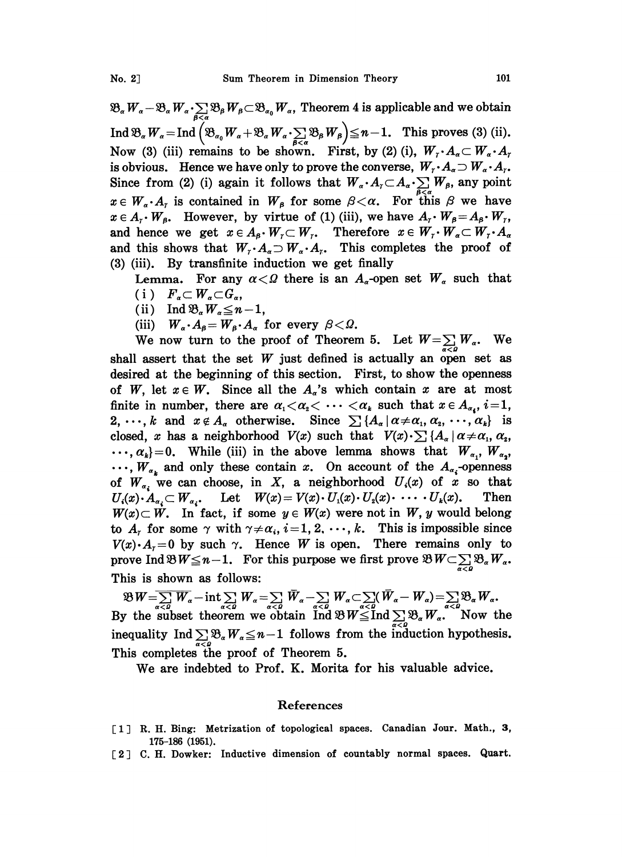$\mathfrak{B}_{\alpha}W_{\alpha}-\mathfrak{B}_{\alpha}W_{\alpha}\cdot\sum_{\beta<\alpha}\mathfrak{B}_{\beta}W_{\beta}\subset\mathfrak{B}_{\alpha_0}W_{\alpha}$ , Theorem 4 is applicable and we obtain Ind  $\mathfrak{B}_{\alpha} W_{\alpha} = \text{Ind} \left( \mathfrak{B}_{\alpha_0} W_{\alpha} + \mathfrak{B}_{\alpha} W_{\alpha} \cdot \sum_{\beta < \alpha} \mathfrak{B}_{\beta} W_{\beta} \right) \leq n-1$ . This proves (3) (ii).  $\mathfrak{B}_{\alpha}W_{\alpha}$  .  $\sum_{\beta<\alpha}\mathfrak{B}_{\beta}W_{\beta}$ <br>be shown. Firs Now (3) (iii) remains to be shown. First, by (2) (i),  $W_r \cdot A_\alpha \subset W_\alpha \cdot A_r$ is obvious. Hence we have only to prove the converse,  $W_r \cdot A_\alpha \supset W_\alpha \cdot A_r$ . Since from (2) (i) again it follows that  $W_{\alpha} \cdot A_{\gamma} \subset A_{\alpha} \cdot \sum_{\beta < \alpha} W_{\beta}$ , any point  $x \in W_\alpha \cdot A_\tau$  is contained in  $W_\beta$  for some  $\beta < \alpha$ . For this  $\beta$  we have  $x \in A_r \cdot W_\beta$ . However, by virtue of (1) (iii), we have  $A_r \cdot W_\beta = A_\beta \cdot W_r$ ,<br>and hence we get  $x \in A_\beta \cdot W_r \subset W_r$ . Therefore  $x \in W_r \cdot W_\alpha \subset W_r \cdot A_\alpha$ and this shows that  $W_r \cdot A_\alpha \supset W_\alpha \cdot A_r$ . This completes the proof of (3) (iii). By transfinite induction we get finally

Lemma. For any  $\alpha < \Omega$  there is an  $A_{\alpha}$ -open set  $W_{\alpha}$  such that (i)  $F_{\alpha} \subset W_{\alpha} \subset G_{\alpha}$ 

- (ii) Ind  $\mathfrak{B}_{\alpha}W_{\alpha} \leq n-1$ ,
- (iii)  $W_a \cdot A_\beta = W_\beta \cdot A_\alpha$  for every  $\beta < \Omega$ .

We now turn to the proof of Theorem 5. Let  $W = \sum_{\alpha \in \mathcal{A}} W_{\alpha}$ . We shall assert that the set  $W$  just defined is actually an open set as desired at the beginning of this section. First, to show the openness of W, let  $x \in W$ . Since all the  $A_{\alpha}$ 's which contain x are at most finite in number, there are  $\alpha_1 < \alpha_2 < \cdots < \alpha_k$  such that  $x \in A_{\alpha_i}$ ,  $i=1$ , 2, ..., k and  $x \notin A_{\alpha}$  otherwise. Since  $\sum_i \{A_{\alpha} | \alpha \neq \alpha_1, \alpha_2, \ldots, \alpha_k\}$  is closed, x has a neighborhood  $V(x)$  such that  $V(x) \cdot \sum_i \{A_\alpha | \alpha \neq \alpha_1, \alpha_2, \alpha_3\}$  $\ldots, \alpha_k$  = 0. While (iii) in the above lemma shows that  $W_{\alpha_1}, W_{\alpha_2},$  $\ldots$ ,  $W_{\alpha_k}$  and only these contain x. On account of the  $A_{\alpha_i}$ -openness of  $W_{\alpha_i}$  we can choose, in X, a neighborhood  $U_i(x)$  of x so that  $U_i(x) \cdot A_{\alpha} \subset W_{\alpha}$ . Let  $W(x) = V(x) \cdot U_i(x) \cdot U_i(x) \cdot \cdots \cdot U_k(x)$ . Then  $U_i(x) \cdot A_{\alpha_i} \subset W_{\alpha_i}$ , Let  $W(x) = V(x) \cdot U_1(x) \cdot U_2(x) \cdot \cdots \cdot U_k(x)$ .  $W(x) \subset W$ . In fact, if some  $y \in W(x)$  were not in W, y would belong to  $A_r$  for some  $\gamma$  with  $\gamma \neq \alpha_i$ ,  $i=1, 2, \dots, k$ . This is impossible since  $V(x) \cdot A<sub>1</sub> = 0$  by such  $\gamma$ . Hence W is open. There remains only to prove Ind  $\mathfrak{B} W \leq n-1$ . For this purpose we first prove  $\mathfrak{B} W \subset \sum_{\alpha < \beta} \mathfrak{B}_{\alpha} W_{\alpha}$ . This is shown as follows:

 $\mathfrak{B}W=\sum_{\alpha}W_{\alpha}-\text{int}\sum_{\alpha}W_{\alpha}=\sum_{\alpha}W_{\alpha}-\sum_{\alpha}W_{\alpha}-\sum_{\alpha}W_{\alpha}-\sum_{\alpha}(\bar{W}_{\alpha}-W_{\alpha})=\sum_{\alpha\in\Omega}\mathfrak{B}_{\alpha}W_{\alpha}.$ By the subset theorem we obtain  $\overline{\text{Ind}} \otimes W \leq \text{Ind} \sum_{x \in \mathcal{B}} \mathfrak{B}_x W \cdot \overline{\text{Ind}}$ inequality  $\text{Ind} \sum_{\alpha < \rho} \mathfrak{B}_{\alpha} W_{\alpha} \leq n-1$  follows from the induction hypothesis. This completes the proof of Theorem 5.

We are indebted to Prof. K. Morita for his valuable advice.

## References

- [1] R. H. Bing: Metrization of topological spaces. Canadian Jour. Math., 3, 175-186 (1951).
- [2] C. H. Dowker: Inductive dimension of countably normal spaces. Quart.